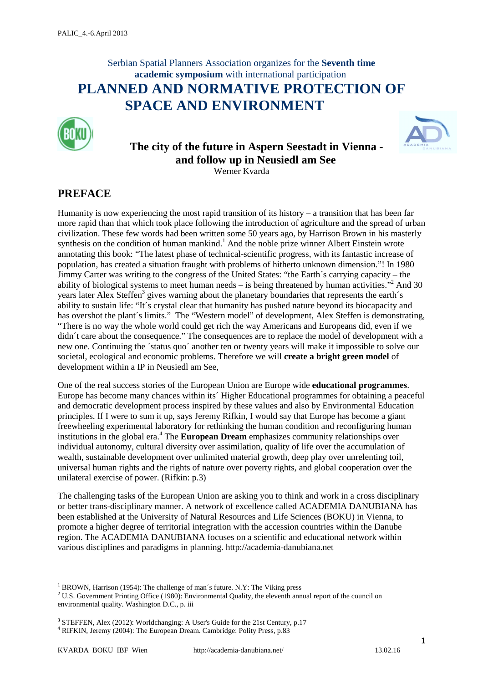## Serbian Spatial Planners Association organizes for the **Seventh time academic symposium** with international participation **PLANNED AND NORMATIVE PROTECTION OF SPACE AND ENVIRONMENT**



### **The city of the future in Aspern Seestadt in Vienna and follow up in Neusiedl am See** Werner Kvarda



### **PREFACE**

Humanity is now experiencing the most rapid transition of its history – a transition that has been far more rapid than that which took place following the introduction of agriculture and the spread of urban civilization. These few words had been written some 50 years ago, by Harrison Brown in his masterly synthesis on the condition of human mankind.<sup>1</sup> And the noble prize winner Albert Einstein wrote annotating this book: "The latest phase of technical-scientific progress, with its fantastic increase of population, has created a situation fraught with problems of hitherto unknown dimension."! In 1980 Jimmy Carter was writing to the congress of the United States: "the Earth´s carrying capacity – the ability of biological systems to meet human needs – is being threatened by human activities.<sup>"2</sup> And 30 years later Alex Steffen<sup>3</sup> gives warning about the planetary boundaries that represents the earth's ability to sustain life: "It´s crystal clear that humanity has pushed nature beyond its biocapacity and has overshot the plant's limits." The "Western model" of development, Alex Steffen is demonstrating, "There is no way the whole world could get rich the way Americans and Europeans did, even if we didn´t care about the consequence." The consequences are to replace the model of development with a new one. Continuing the ´status quo´ another ten or twenty years will make it impossible to solve our societal, ecological and economic problems. Therefore we will **create a bright green model** of development within a IP in Neusiedl am See,

One of the real success stories of the European Union are Europe wide **educational programmes**. Europe has become many chances within its´ Higher Educational programmes for obtaining a peaceful and democratic development process inspired by these values and also by Environmental Education principles. If I were to sum it up, says Jeremy Rifkin, I would say that Europe has become a giant freewheeling experimental laboratory for rethinking the human condition and reconfiguring human institutions in the global era.<sup>4</sup> The **European Dream** emphasizes community relationships over individual autonomy, cultural diversity over assimilation, quality of life over the accumulation of wealth, sustainable development over unlimited material growth, deep play over unrelenting toil, universal human rights and the rights of nature over poverty rights, and global cooperation over the unilateral exercise of power. (Rifkin: p.3)

The challenging tasks of the European Union are asking you to think and work in a cross disciplinary or better trans-disciplinary manner. A network of excellence called ACADEMIA DANUBIANA has been established at the University of Natural Resources and Life Sciences (BOKU) in Vienna, to promote a higher degree of territorial integration with the accession countries within the Danube region. The ACADEMIA DANUBIANA focuses on a scientific and educational network within various disciplines and paradigms in planning. http://academia-danubiana.net

1

<sup>&</sup>lt;sup>1</sup> BROWN, Harrison (1954): The challenge of man's future. N.Y: The Viking press

<sup>&</sup>lt;sup>2</sup> U.S. Government Printing Office (1980): Environmental Quality, the eleventh annual report of the council on environmental quality. Washington D.C., p. iii

<sup>&</sup>lt;sup>3</sup> STEFFEN, Alex (2012): Worldchanging: A User's Guide for the 21st Century, p.17<br><sup>4</sup> RIFKIN, Jeremy (2004): The European Dream. Cambridge: Polity Press, p.83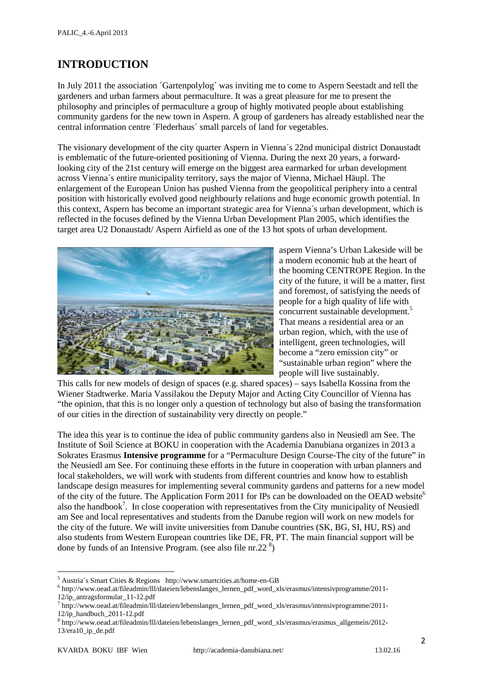## **INTRODUCTION**

In July 2011 the association ´Gartenpolylog´ was inviting me to come to Aspern Seestadt and tell the gardeners and urban farmers about permaculture. It was a great pleasure for me to present the philosophy and principles of permaculture a group of highly motivated people about establishing community gardens for the new town in Aspern. A group of gardeners has already established near the central information centre ´Flederhaus´ small parcels of land for vegetables.

The visionary development of the city quarter Aspern in Vienna´s 22nd municipal district Donaustadt is emblematic of the future-oriented positioning of Vienna. During the next 20 years, a forwardlooking city of the 21st century will emerge on the biggest area earmarked for urban development across Vienna´s entire municipality territory, says the major of Vienna, Michael Häupl. The enlargement of the European Union has pushed Vienna from the geopolitical periphery into a central position with historically evolved good neighbourly relations and huge economic growth potential. In this context, Aspern has become an important strategic area for Vienna´s urban development, which is reflected in the focuses defined by the Vienna Urban Development Plan 2005, which identifies the target area U2 Donaustadt/ Aspern Airfield as one of the 13 hot spots of urban development.



aspern Vienna's Urban Lakeside will be a modern economic hub at the heart of the booming CENTROPE Region. In the city of the future, it will be a matter, first and foremost, of satisfying the needs of people for a high quality of life with concurrent sustainable development.<sup>5</sup> That means a residential area or an urban region, which, with the use of intelligent, green technologies, will become a "zero emission city" or "sustainable urban region" where the people will live sustainably.

This calls for new models of design of spaces (e.g. shared spaces) – says Isabella Kossina from the Wiener Stadtwerke. Maria Vassilakou the Deputy Major and Acting City Councillor of Vienna has "the opinion, that this is no longer only a question of technology but also of basing the transformation of our cities in the direction of sustainability very directly on people."

The idea this year is to continue the idea of public community gardens also in Neusiedl am See. The Institute of Soil Science at BOKU in cooperation with the Academia Danubiana organizes in 2013 a Sokrates Erasmus **Intensive programme** for a "Permaculture Design Course-The city of the future" in the Neusiedl am See. For continuing these efforts in the future in cooperation with urban planners and local stakeholders, we will work with students from different countries and know how to establish landscape design measures for implementing several community gardens and patterns for a new model of the city of the future. The Application Form 2011 for IPs can be downloaded on the OEAD website<sup>6</sup> also the handbook<sup>7</sup>. In close cooperation with representatives from the City municipality of Neusiedl am See and local representatives and students from the Danube region will work on new models for the city of the future. We will invite universities from Danube countries (SK, BG, SI, HU, RS) and also students from Western European countries like DE, FR, PT. The main financial support will be done by funds of an Intensive Program. (see also file nr.22 $\textsuperscript{8}$ )

 $\overline{\phantom{a}}$ 

<sup>&</sup>lt;sup>5</sup> Austria´s Smart Cities & Regions http://www.smartcities.at/home-en-GB<br>
<sup>6</sup> http://www.oead.at/fileadmin/lll/dateien/lebenslanges\_lernen\_pdf\_word\_xls/erasmus/intensivprogramme/2011-<br>
12/ip\_antragsformular\_11-12.pdf

 $^7$  http://www.oead.at/fileadmin/lll/dateien/lebenslanges\_lernen\_pdf\_word\_xls/erasmus/intensivprogramme/2011-12/ip\_handbuch\_2011-12.pdf <sup>8</sup> http://www.oead.at/fileadmin/lll/dateien/lebenslanges\_lernen\_pdf\_word\_xls/erasmus/erasmus\_allgemein/2012-

<sup>13/</sup>era10\_ip\_de.pdf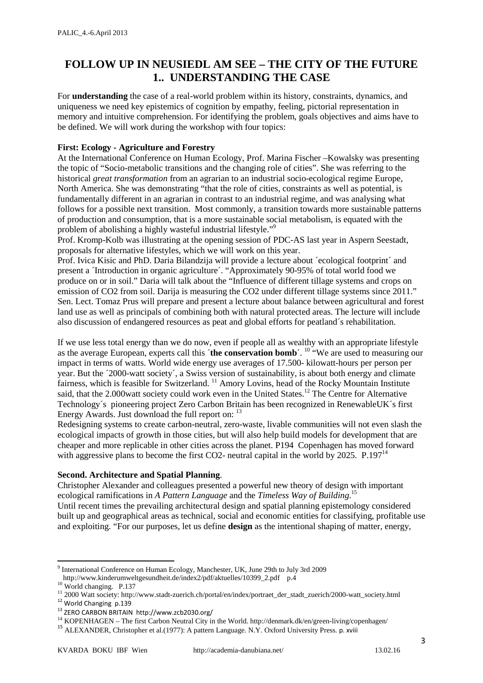### **FOLLOW UP IN NEUSIEDL AM SEE – THE CITY OF THE FUTURE 1.. UNDERSTANDING THE CASE**

For **understanding** the case of a real-world problem within its history, constraints, dynamics, and uniqueness we need key epistemics of cognition by empathy, feeling, pictorial representation in memory and intuitive comprehension. For identifying the problem, goals objectives and aims have to be defined. We will work during the workshop with four topics:

#### **First: Ecology - Agriculture and Forestry**

At the International Conference on Human Ecology, Prof. Marina Fischer –Kowalsky was presenting the topic of "Socio-metabolic transitions and the changing role of cities". She was referring to the historical *great transformation* from an agrarian to an industrial socio-ecological regime Europe, North America. She was demonstrating "that the role of cities, constraints as well as potential, is fundamentally different in an agrarian in contrast to an industrial regime, and was analysing what follows for a possible next transition. Most commonly, a transition towards more sustainable patterns of production and consumption, that is a more sustainable social metabolism, is equated with the problem of abolishing a highly wasteful industrial lifestyle."<sup>9</sup>

Prof. Kromp-Kolb was illustrating at the opening session of PDC-AS last year in Aspern Seestadt, proposals for alternative lifestyles, which we will work on this year.

Prof. Ivica Kisic and PhD. Daria Bilandzija will provide a lecture about ´ecological footprint´ and present a ´Introduction in organic agriculture´. "Approximately 90-95% of total world food we produce on or in soil." Daria will talk about the "Influence of different tillage systems and crops on emission of CO2 from soil. Darija is measuring the CO2 under different tillage systems since 2011." Sen. Lect. Tomaz Prus will prepare and present a lecture about balance between agricultural and forest land use as well as principals of combining both with natural protected areas. The lecture will include also discussion of endangered resources as peat and global efforts for peatland´s rehabilitation.

If we use less total energy than we do now, even if people all as wealthy with an appropriate lifestyle as the average European, experts call this ´**the conservation bomb**´. 10 "We are used to measuring our impact in terms of watts. World wide energy use averages of 17.500- kilowatt-hours per person per year. But the ´2000-watt society´, a Swiss version of sustainability, is about both energy and climate fairness, which is feasible for Switzerland.<sup>11</sup> Amory Lovins, head of the Rocky Mountain Institute said, that the 2.000 watt society could work even in the United States.<sup>12</sup> The Centre for Alternative Technology´s pioneering project Zero Carbon Britain has been recognized in RenewableUK´s first Energy Awards. Just download the full report on: <sup>13</sup>

Redesigning systems to create carbon-neutral, zero-waste, livable communities will not even slash the ecological impacts of growth in those cities, but will also help build models for development that are cheaper and more replicable in other cities across the planet. P194 Copenhagen has moved forward with aggressive plans to become the first CO2- neutral capital in the world by 2025. P.197<sup>14</sup>

#### **Second. Architecture and Spatial Planning**.

Christopher Alexander and colleagues presented a powerful new theory of design with important ecological ramifications in *A Pattern Language* and the *Timeless Way of Building*. 15 Until recent times the prevailing architectural design and spatial planning epistemology considered built up and geographical areas as technical, social and economic entities for classifying, profitable use and exploiting. "For our purposes, let us define **design** as the intentional shaping of matter, energy,

<u>.</u>

<sup>9</sup> International Conference on Human Ecology, Manchester, UK, June 29th to July 3rd 2009

http://www.kinderumweltgesundheit.de/index2/pdf/aktuelles/10399\_2.pdf p.4<br>
<sup>10</sup> World changing. P.137<br>
<sup>11</sup> 2000 Watt society: http://www.stadt-zuerich.ch/portal/en/index/portraet\_der\_stadt\_zuerich/2000-watt\_society.html<br>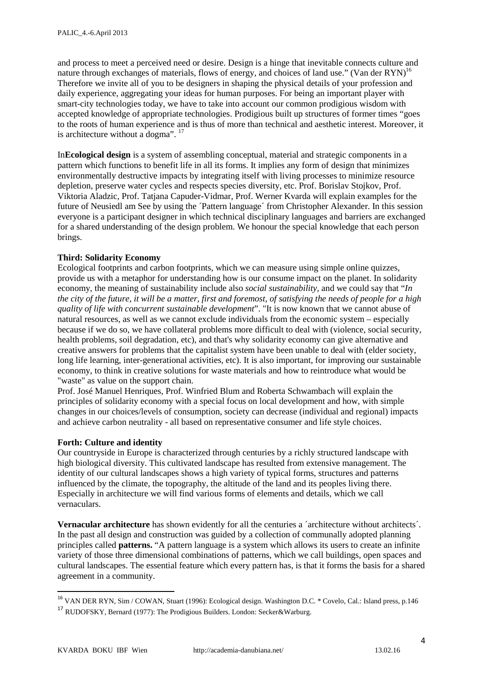and process to meet a perceived need or desire. Design is a hinge that inevitable connects culture and nature through exchanges of materials, flows of energy, and choices of land use." (Van der  $RYN$ )<sup>16</sup> Therefore we invite all of you to be designers in shaping the physical details of your profession and daily experience, aggregating your ideas for human purposes. For being an important player with smart-city technologies today, we have to take into account our common prodigious wisdom with accepted knowledge of appropriate technologies. Prodigious built up structures of former times "goes to the roots of human experience and is thus of more than technical and aesthetic interest. Moreover, it is architecture without a dogma". <sup>17</sup>

In**Ecological design** is a system of assembling conceptual, material and strategic components in a pattern which functions to benefit life in all its forms. It implies any form of design that minimizes environmentally destructive impacts by integrating itself with living processes to minimize resource depletion, preserve water cycles and respects species diversity, etc. Prof. Borislav Stojkov, Prof. Viktoria Aladzic, Prof. Tatjana Capuder-Vidmar, Prof. Werner Kvarda will explain examples for the future of Neusiedl am See by using the ´Pattern language´ from Christopher Alexander. In this session everyone is a participant designer in which technical disciplinary languages and barriers are exchanged for a shared understanding of the design problem. We honour the special knowledge that each person brings.

#### **Third: Solidarity Economy**

Ecological footprints and carbon footprints, which we can measure using simple online quizzes, provide us with a metaphor for understanding how is our consume impact on the planet. In solidarity economy, the meaning of sustainability include also *social sustainability,* and we could say that "*In the city of the future, it will be a matter, first and foremost, of satisfying the needs of people for a high quality of life with concurrent sustainable development*". "It is now known that we cannot abuse of natural resources, as well as we cannot exclude individuals from the economic system – especially because if we do so, we have collateral problems more difficult to deal with (violence, social security, health problems, soil degradation, etc), and that's why solidarity economy can give alternative and creative answers for problems that the capitalist system have been unable to deal with (elder society, long life learning, inter-generational activities, etc). It is also important, for improving our sustainable economy, to think in creative solutions for waste materials and how to reintroduce what would be "waste" as value on the support chain.

Prof. José Manuel Henriques, Prof. Winfried Blum and Roberta Schwambach will explain the principles of solidarity economy with a special focus on local development and how, with simple changes in our choices/levels of consumption, society can decrease (individual and regional) impacts and achieve carbon neutrality - all based on representative consumer and life style choices.

#### **Forth: Culture and identity**

Our countryside in Europe is characterized through centuries by a richly structured landscape with high biological diversity. This cultivated landscape has resulted from extensive management. The identity of our cultural landscapes shows a high variety of typical forms, structures and patterns influenced by the climate, the topography, the altitude of the land and its peoples living there. Especially in architecture we will find various forms of elements and details, which we call vernaculars.

**Vernacular architecture** has shown evidently for all the centuries a ´architecture without architects´. In the past all design and construction was guided by a collection of communally adopted planning principles called **patterns.** "A pattern language is a system which allows its users to create an infinite variety of those three dimensional combinations of patterns, which we call buildings, open spaces and cultural landscapes. The essential feature which every pattern has, is that it forms the basis for a shared agreement in a community.

<sup>&</sup>lt;sup>16</sup> VAN DER RYN, Sim / COWAN, Stuart (1996): Ecological design. Washington D.C. \* Covelo, Cal.: Island press, p.146

<sup>17</sup> RUDOFSKY, Bernard (1977): The Prodigious Builders. London: Secker&Warburg.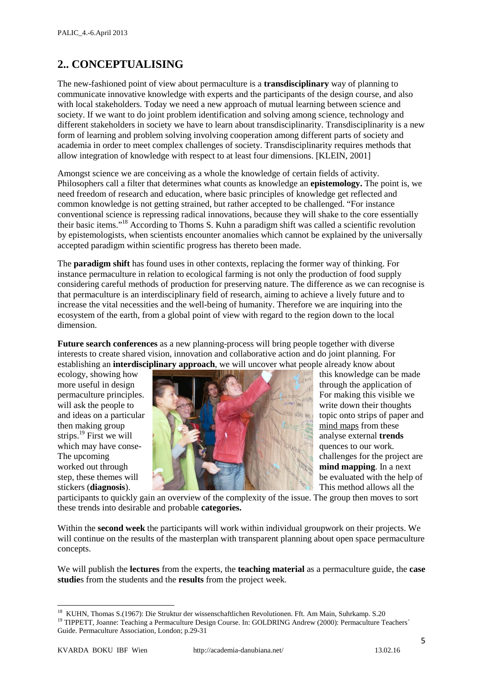# **2.. CONCEPTUALISING**

The new-fashioned point of view about permaculture is a **transdisciplinary** way of planning to communicate innovative knowledge with experts and the participants of the design course, and also with local stakeholders. Today we need a new approach of mutual learning between science and society. If we want to do joint problem identification and solving among science, technology and different stakeholders in society we have to learn about transdisciplinarity. Transdisciplinarity is a new form of learning and problem solving involving cooperation among different parts of society and academia in order to meet complex challenges of society. Transdisciplinarity requires methods that allow integration of knowledge with respect to at least four dimensions. [KLEIN, 2001]

Amongst science we are conceiving as a whole the knowledge of certain fields of activity. Philosophers call a filter that determines what counts as knowledge an **epistemology.** The point is, we need freedom of research and education, where basic principles of knowledge get reflected and common knowledge is not getting strained, but rather accepted to be challenged. "For instance conventional science is repressing radical innovations, because they will shake to the core essentially their basic items."18 According to Thoms S. Kuhn a paradigm shift was called a scientific revolution by epistemologists, when scientists encounter anomalies which cannot be explained by the universally accepted paradigm within scientific progress has thereto been made.

The **paradigm shift** has found uses in other contexts, replacing the former way of thinking. For instance permaculture in relation to ecological farming is not only the production of food supply considering careful methods of production for preserving nature. The difference as we can recognise is that permaculture is an interdisciplinary field of research, aiming to achieve a lively future and to increase the vital necessities and the well-being of humanity. Therefore we are inquiring into the ecosystem of the earth, from a global point of view with regard to the region down to the local dimension.

**Future search conferences** as a new planning-process will bring people together with diverse interests to create shared vision, innovation and collaborative action and do joint planning. For establishing an **interdisciplinary approach**, we will uncover what people already know about



participants to quickly gain an overview of the complexity of the issue. The group then moves to sort these trends into desirable and probable **categories.**

Within the **second week** the participants will work within individual groupwork on their projects. We will continue on the results of the masterplan with transparent planning about open space permaculture concepts.

We will publish the **lectures** from the experts, the **teaching material** as a permaculture guide, the **case studie**s from the students and the **results** from the project week.

<u>.</u>

<sup>&</sup>lt;sup>18</sup> KUHN, Thomas S.(1967): Die Struktur der wissenschaftlichen Revolutionen. Fft. Am Main, Suhrkamp. S.20 19 TIPPETT, Joanne: Teaching a Permaculture Design Course. In: GOLDRING Andrew (2000): Permaculture Teachers´

Guide. Permaculture Association, London; p.29-31